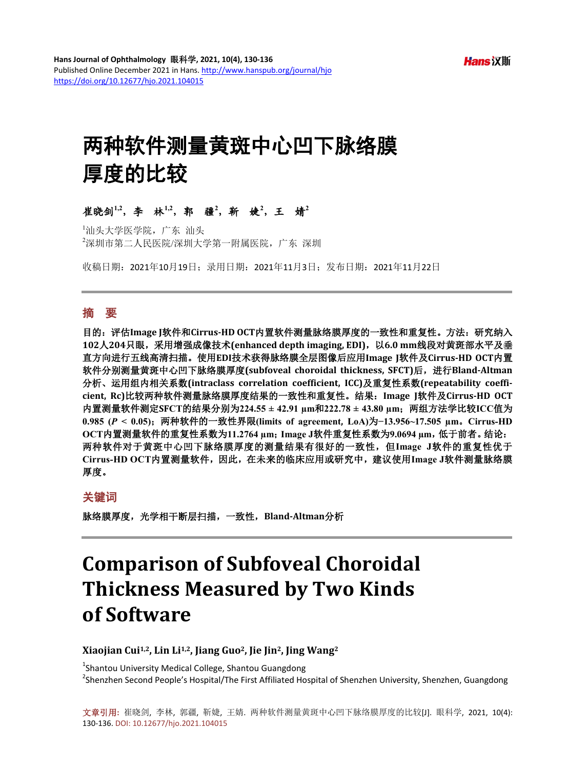# 两种软件测量黄斑中心凹下脉络膜 厚度的比较

## 崔晓剑**1,2**,李林**1,2**,郭疆**<sup>2</sup>** ,靳婕**<sup>2</sup>** ,王婧**<sup>2</sup>**

1 汕头大学医学院,广东 汕头 2 深圳市第二人民医院/深圳大学第一附属医院,广东 深圳

收稿日期:2021年10月19日;录用日期:2021年11月3日;发布日期:2021年11月22日

#### 摘 要

目的:评估**Image J**软件和**Cirrus-HD OCT**内置软件测量脉络膜厚度的一致性和重复性。方法:研究纳入 **102**人**204**只眼,采用增强成像技术**(enhanced depth imaging, EDI)**,以**6.0 mm**线段对黄斑部水平及垂 直方向进行五线高清扫描。使用**EDI**技术获得脉络膜全层图像后应用**Image J**软件及**Cirrus-HD OCT**内置 软件分别测量黄斑中心凹下脉络膜厚度**(subfoveal choroidal thickness, SFCT)**后,进行**Bland-Altman** 分析、运用组内相关系数**(intraclass correlation coefficient, ICC)**及重复性系数**(repeatability coefficient, Rc)**比较两种软件测量脉络膜厚度结果的一致性和重复性。结果:**Image J**软件及**Cirrus-HD OCT** 内置测量软件测定**SFCT**的结果分别为**224.55 ± 42.91 µm**和**222.78 ± 43.80 µm**;两组方法学比较**ICC**值为 **0.985 (***P* **< 0.05)**;两种软件的一致性界限**(limits of agreement, LoA)**为**−13.956~17.505 µm**。**Cirrus-HD OCT**内置测量软件的重复性系数为**11.2764 µm**;**Image J**软件重复性系数为**9.0694 µm**,低于前者。结论: 两种软件对于黄斑中心凹下脉络膜厚度的测量结果有很好的一致性,但**Image J**软件的重复性优于 **Cirrus-HD OCT**内置测量软件,因此,在未来的临床应用或研究中,建议使用**Image J**软件测量脉络膜 厚度。

#### 关键词

脉络膜厚度,光学相干断层扫描,一致性,**Bland-Altman**分析

## **Comparison of Subfoveal Choroidal Thickness Measured by Two Kinds of Software**

#### **Xiaojian Cui1,2, Lin Li1,2, Jiang Guo2, Jie Jin2, Jing Wang2**

<sup>1</sup>Shantou University Medical College, Shantou Guangdong <sup>2</sup>Shenzhen Second People's Hospital/The First Affiliated Hospital of Shenzhen University, Shenzhen, Guangdong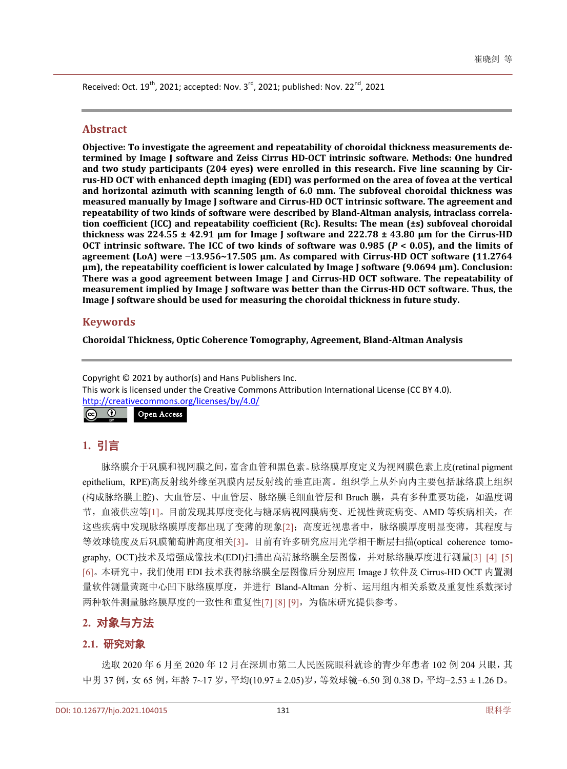Received: Oct. 19<sup>th</sup>, 2021; accepted: Nov. 3<sup>rd</sup>, 2021; published: Nov. 22<sup>nd</sup>, 2021

#### **Abstract**

**Objective: To investigate the agreement and repeatability of choroidal thickness measurements determined by Image J software and Zeiss Cirrus HD-OCT intrinsic software. Methods: One hundred and two study participants (204 eyes) were enrolled in this research. Five line scanning by Cirrus-HD OCT with enhanced depth imaging (EDI) was performed on the area of fovea at the vertical and horizontal azimuth with scanning length of 6.0 mm. The subfoveal choroidal thickness was measured manually by Image J software and Cirrus-HD OCT intrinsic software. The agreement and repeatability of two kinds of software were described by Bland-Altman analysis, intraclass correlation coefficient (ICC) and repeatability coefficient (Rc). Results: The mean (±s) subfoveal choroidal thickness was 224.55 ± 42.91 µm for Image J software and 222.78 ± 43.80 µm for the Cirrus-HD OCT intrinsic software. The ICC of two kinds of software was 0.985 (***P* **< 0.05), and the limits of agreement (LoA) were −13.956~17.505 µm. As compared with Cirrus-HD OCT software (11.2764 µm), the repeatability coefficient is lower calculated by Image J software (9.0694 µm). Conclusion: There was a good agreement between Image J and Cirrus-HD OCT software. The repeatability of measurement implied by Image J software was better than the Cirrus-HD OCT software. Thus, the Image J software should be used for measuring the choroidal thickness in future study.**

#### **Keywords**

**Choroidal Thickness, Optic Coherence Tomography, Agreement, Bland-Altman Analysis**

Copyright © 2021 by author(s) and Hans Publishers Inc. This work is licensed under the Creative Commons Attribution International License (CC BY 4.0). <http://creativecommons.org/licenses/by/4.0/>  $|G \rangle$  $\bullet$ Open Access

## **1.** 引言

脉络膜介于巩膜和视网膜之间,富含血管和黑色素。脉络膜厚度定义为视网膜色素上皮(retinal pigment epithelium, RPE)高反射线外缘至巩膜内层反射线的垂直距离。组织学上从外向内主要包括脉络膜上组织 (构成脉络膜上腔)、大血管层、中血管层、脉络膜毛细血管层和 Bruch 膜,具有多种重要功能,如温度调 节,血液供应等[\[1\]](#page-5-0)。目前发现其厚度变化与糖尿病视网膜病变、近视性黄斑病变、AMD 等疾病相关, 在 这些疾病中发现脉络膜厚度都出现了变薄的现象[\[2\]](#page-5-1);高度近视患者中,脉络膜厚度明显变薄,其程度与 等效球镜度及后巩膜葡萄肿高度相关[\[3\]](#page-5-2)。目前有许多研究应用光学相干断层扫描(optical coherence tomography, OCT)技术及增强成像技术(EDI)扫描出高清脉络膜全层图像,并对脉络膜厚度进行测量[\[3\]](#page-5-2) [\[4\]](#page-5-3) [\[5\]](#page-5-4) [\[6\]](#page-6-0)。本研究中,我们使用 EDI 技术获得脉络膜全层图像后分别应用 Image J 软件及 Cirrus-HD OCT 内置测 量软件测量黄斑中心凹下脉络膜厚度,并进行 Bland-Altman 分析、运用组内相关系数及重复性系数探讨 两种软件测量脉络膜厚度的一致性和重复性[\[7\]](#page-6-1) [\[8\]](#page-6-2) [\[9\]](#page-6-3),为临床研究提供参考。

## **2.** 对象与方法

#### **2.1.** 研究对象

选取 2020 年 6 月至 2020 年 12 月在深圳市第二人民医院眼科就诊的青少年患者 102 例 204 只眼,其 中男 37 例,女 65 例,年龄 7~17 岁,平均(10.97 ± 2.05)岁,等效球镜−6.50 到 0.38 D,平均−2.53 ± 1.26 D。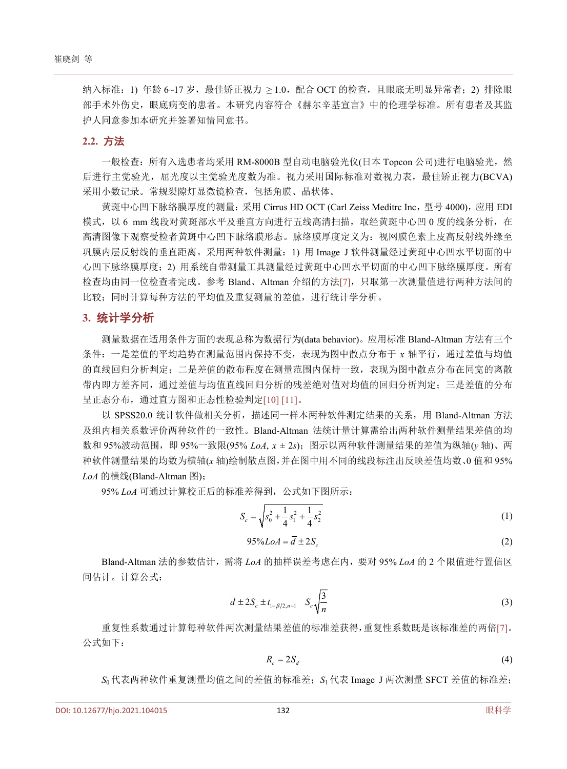纳入标准: 1) 年龄 6~17 岁,最佳矫正视力 ≥ 1.0,配合 OCT 的检查,且眼底无明显异常者; 2) 排除眼 部手术外伤史,眼底病变的患者。本研究内容符合《赫尔辛基宣言》中的伦理学标准。所有患者及其监 护人同意参加本研究并签署知情同意书。

#### **2.2.** 方法

一般检查:所有入选患者均采用 RM-8000B 型自动电脑验光仪(日本 Topcon 公司)进行电脑验光,然 后进行主觉验光,屈光度以主觉验光度数为准。视力采用国际标准对数视力表,最佳矫正视力(BCVA) 采用小数记录。常规裂隙灯显微镜检查,包括角膜、晶状体。

黄斑中心凹下脉络膜厚度的测量:采用 Cirrus HD OCT (Carl Zeiss Meditrc Inc,型号 4000), 应用 EDI 模式, 以 6 mm 线段对黄斑部水平及垂直方向进行五线高清扫描, 取经黄斑中心凹 0 度的线条分析, 在 高清图像下观察受检者黄斑中心凹下脉络膜形态。脉络膜厚度定义为:视网膜色素上皮高反射线外缘至 巩膜内层反射线的垂直距离。采用两种软件测量:1) 用 Image J 软件测量经过黄斑中心凹水平切面的中 心凹下脉络膜厚度;2) 用系统自带测量工具测量经过黄斑中心凹水平切面的中心凹下脉络膜厚度。所有 检查均由同一位检查者完成。参考 Bland、Altman 介绍的方法[\[7\]](#page-6-1),只取第一次测量值进行两种方法间的 比较;同时计算每种方法的平均值及重复测量的差值,进行统计学分析。

#### **3.** 统计学分析

测量数据在适用条件方面的表现总称为数据行为(data behavior)。应用标准 Bland-Altman 方法有三个 条件:一是差值的平均趋势在测量范围内保持不变,表现为图中散点分布于 *x* 轴平行,通过差值与均值 的直线回归分析判定;二是差值的散布程度在测量范围内保持一致,表现为图中散点分布在同宽的离散 带内即方差齐同,通过差值与均值直线回归分析的残差绝对值对均值的回归分析判定;三是差值的分布 呈正态分布,通过直方图和正态性检验判定[\[10\]](#page-6-4) [\[11\]](#page-6-5)。

以 SPSS20.0 统计软件做相关分析,描述同一样本两种软件测定结果的关系,用 Bland-Altman 方法 及组内相关系数评价两种软件的一致性。Bland-Altman 法统计量计算需给出两种软件测量结果差值的均 数和 95%波动范围, 即 95%一致限(95% *LoA*,  $x \pm 2s$ ); 图示以两种软件测量结果的差值为纵轴(y 轴)、两 种软件测量结果的均数为横轴(*x* 轴)绘制散点图,并在图中用不同的线段标注出反映差值均数、0 值和 95% *LoA* 的横线(Bland-Altman 图);

95% *LoA* 可通过计算校正后的标准差得到,公式如下图所示:

$$
S_c = \sqrt{s_0^2 + \frac{1}{4} s_1^2 + \frac{1}{4} s_2^2}
$$
 (1)

$$
95\% LoA = \overline{d} \pm 2S_c \tag{2}
$$

Bland-Altman 法的参数估计,需将 *LoA* 的抽样误差考虑在内,要对 95% *LoA* 的 2 个限值进行置信区 间估计。计算公式:

$$
\overline{d} \pm 2S_c \pm t_{1-\beta/2,n-1} \quad S_c \sqrt{\frac{3}{n}} \tag{3}
$$

重复性系数通过计算每种软件两次测量结果差值的标准差获得,重复性系数既是该标准差的两倍[\[7\]](#page-6-1)。 公式如下:

$$
R_c = 2S_d \tag{4}
$$

*S*<sup>0</sup> 代表两种软件重复测量均值之间的差值的标准差;*S*<sup>1</sup> 代表 Image J 两次测量 SFCT 差值的标准差;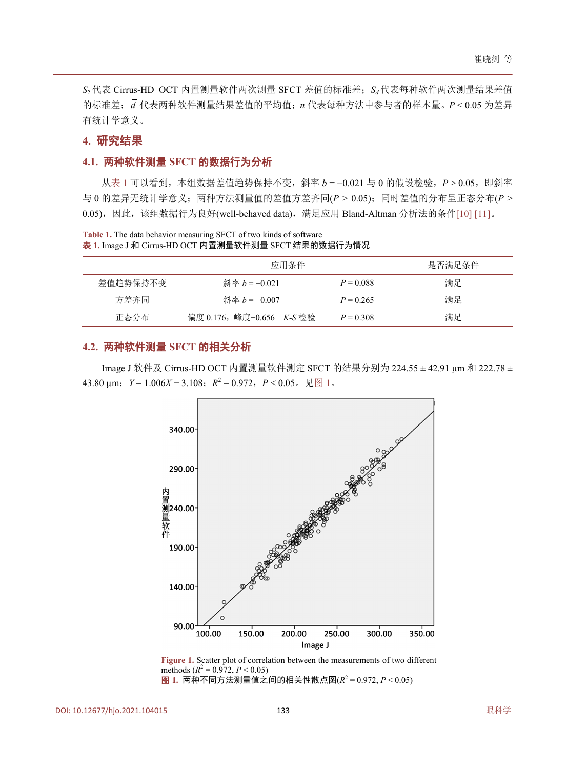*S*<sub>2</sub> 代表 Cirrus-HD OCT 内置测量软件两次测量 SFCT 差值的标准差; *S<sub>d</sub>* 代表每种软件两次测量结果差值 的标准差;*d* 代表两种软件测量结果差值的平均值;*n* 代表每种方法中参与者的样本量。*P* < 0.05 为差异 有统计学意义。

## **4.** 研究结果

## **4.1.** 两种软件测量 **SFCT** 的数据行为分析

[从表](#page-3-0) 1 可以看到, 本组数据差值趋势保持不变, 斜率 *b* = −0.021 与 0 的假设检验, P > 0.05, 即斜率 与 0 的差异无统计学意义;两种方法测量值的差值方差齐同(*P* > 0.05);同时差值的分布呈正态分布(*P* > 0.05), 因此, 该组数据行为良好(well-behaved data), 满足应用 Bland-Altman 分析法的条件[\[10\]](#page-6-4) [\[11\]](#page-6-5)。

<span id="page-3-0"></span>**Table 1.** The data behavior measuring SFCT of two kinds of software 表 **1.** Image J 和 Cirrus-HD OCT 内置测量软件测量 SFCT 结果的数据行为情况

|          | 应用条件                      |             | 是否满足条件 |
|----------|---------------------------|-------------|--------|
| 差值趋势保持不变 | 斜率 $b = 0.021$            | $P = 0.088$ | 满足     |
| 方差齐同     | 斜率 $b = 0.007$            | $P = 0.265$ | 满足     |
| 正态分布     | 偏度 0.176, 峰度-0.656 K-S 检验 | $P = 0.308$ | 满足     |

## **4.2.** 两种软件测量 **SFCT** 的相关分析

<span id="page-3-1"></span>Image J 软件及 Cirrus-HD OCT 内置测量软件测定 SFCT 的结果分别为 224.55 ± 42.91 µm 和 222.78 ± 43.80 μm;  $Y = 1.006X - 3.108$ ;  $R^2 = 0.972$ ,  $P < 0.05$ . [见图](#page-3-1) 1.



Figure 1. Scatter plot of correlation between the measurements of two different methods ( $R^2 = 0.972$ ,  $P < 0.05$ ) 图 **1.** 两种不同方法测量值之间的相关性散点图(*R*<sup>2</sup> = 0.972, *P* < 0.05)

DOI[: 10.12677/hjo.2021.104015](https://doi.org/10.12677/hjo.2021.104015) 133 眼科学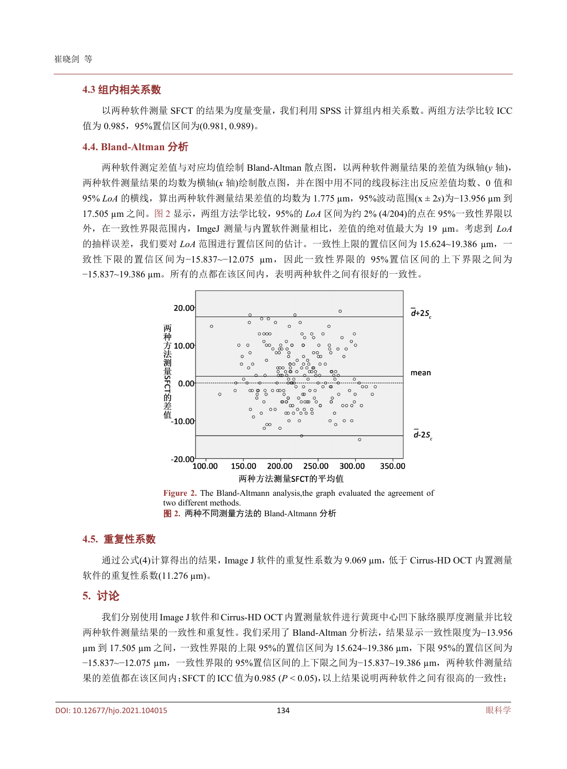#### **4.3** 组内相关系数

以两种软件测量 SFCT 的结果为度量变量,我们利用 SPSS 计算组内相关系数。两组方法学比较 ICC 值为 0.985,95%置信区间为(0.981, 0.989)。

### **4.4. Bland-Altman** 分析

两种软件测定差值与对应均值绘制 Bland-Altman 散点图,以两种软件测量结果的差值为纵轴(*y* 轴), 两种软件测量结果的均数为横轴(*x* 轴)绘制散点图,并在图中用不同的线段标注出反应差值均数、0 值和 95% *LoA* 的横线,算出两种软件测量结果差值的均数为 1.775 µm,95%波动范围(x ± 2*s*)为−13.956 µm 到 17.505 μm 之间[。图](#page-4-0) 2 显示, 两组方法学比较, 95%的 *LoA* 区间为约 2% (4/204)的点在 95%一致性界限以 外,在一致性界限范围内,ImgeJ 测量与内置软件测量相比,差值的绝对值最大为 19 µm。考虑到 *LoA* 的抽样误差,我们要对 *LoA* 范围进行置信区间的估计。一致性上限的置信区间为 15.624~19.386 µm,一 致性下限的置信区间为−15.837~−12.075 µm,因此一致性界限的 95%置信区间的上下界限之间为 −15.837~19.386 µm。所有的点都在该区间内,表明两种软件之间有很好的一致性。

<span id="page-4-0"></span>

**Figure 2.** The Bland-Altmann analysis,the graph evaluated the agreement of two different methods. 图 **2.** 两种不同测量方法的 Bland-Altmann 分析

#### **4.5.** 重复性系数

通过公式(4)计算得出的结果, Image J 软件的重复性系数为 9.069 μm, 低于 Cirrus-HD OCT 内置测量 软件的重复性系数(11.276 µm)。

#### **5.** 讨论

我们分别使用Image J软件和Cirrus-HD OCT内置测量软件进行黄斑中心凹下脉络膜厚度测量并比较 两种软件测量结果的一致性和重复性。我们采用了 Bland-Altman 分析法,结果显示一致性限度为−13.956 µm 到 17.505 µm 之间,一致性界限的上限 95%的置信区间为 15.624~19.386 µm,下限 95%的置信区间为 −15.837~−12.075 µm,一致性界限的 95%置信区间的上下限之间为−15.837~19.386 µm,两种软件测量结 果的差值都在该区间内;SFCT的ICC值为0.985 (*P* < 0.05),以上结果说明两种软件之间有很高的一致性;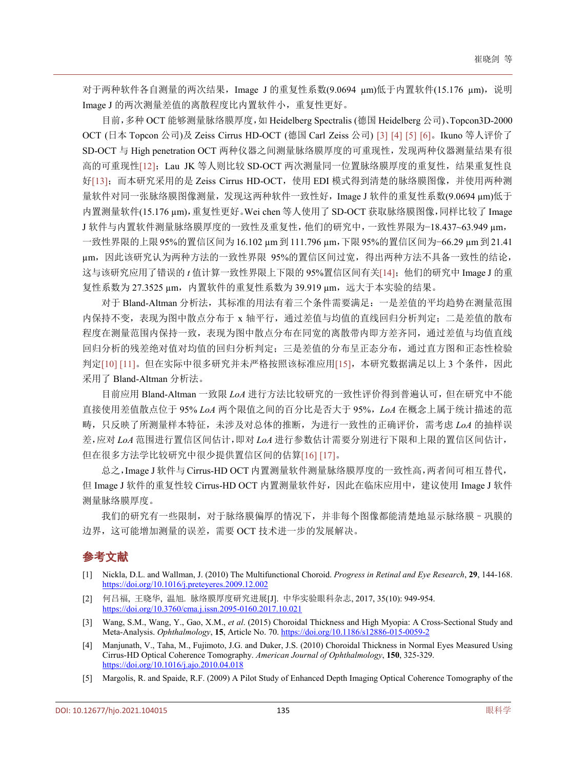对于两种软件各自测量的两次结果, Image J 的重复性系数(9.0694 μm)低于内置软件(15.176 μm), 说明 Image J 的两次测量差值的离散程度比内置软件小,重复性更好。

目前,多种 OCT 能够测量脉络膜厚度,如 Heidelberg Spectralis (德国 Heidelberg 公司)、Topcon3D-2000 OCT (日本 Topcon 公司)及 Zeiss Cirrus HD-OCT (德国 Carl Zeiss 公司) [\[3\]](#page-5-2) [\[4\]](#page-5-3) [\[5\]](#page-5-4) [\[6\]](#page-6-0)。Ikuno 等人评价了 SD-OCT 与 High penetration OCT 两种仪器之间测量脉络膜厚度的可重现性,发现两种仪器测量结果有很 高的可重现性[\[12\]](#page-6-6); Lau JK 等人则比较 SD-OCT 两次测量同一位置脉络膜厚度的重复性,结果重复性良 好[\[13\]](#page-6-7);而本研究采用的是 Zeiss Cirrus HD-OCT,使用 EDI 模式得到清楚的脉络膜图像,并使用两种测 量软件对同一张脉络膜图像测量,发现这两种软件一致性好,Image J 软件的重复性系数(9.0694 µm)低于 内置测量软件(15.176 µm),重复性更好。Wei chen 等人使用了 SD-OCT 获取脉络膜图像,同样比较了 Image J 软件与内置软件测量脉络膜厚度的一致性及重复性,他们的研究中,一致性界限为−18.437~63.949 µm,

一致性界限的上限 95%的置信区间为 16.102 µm到 111.796 µm,下限 95%的置信区间为−66.29 µm到 21.41 µm,因此该研究认为两种方法的一致性界限 95%的置信区间过宽,得出两种方法不具备一致性的结论, 这与该研究应用了错误的 *t* 值计算一致性界限上下限的 95%置信区间有关[\[14\]](#page-6-8);他们的研究中 Image J 的重 复性系数为 27.3525 μm, 内置软件的重复性系数为 39.919 μm, 远大于本实验的结果。

对于 Bland-Altman 分析法, 其标准的用法有着三个条件需要满足:一是差值的平均趋势在测量范围 内保持不变,表现为图中散点分布于 x 轴平行,通过差值与均值的直线回归分析判定; 二是差值的散布 程度在测量范围内保持一致,表现为图中散点分布在同宽的离散带内即方差齐同,通过差值与均值直线 回归分析的残差绝对值对均值的回归分析判定;三是差值的分布呈正态分布,通过直方图和正态性检验 判定[\[10\]](#page-6-4) [\[11\]](#page-6-5)。但在实际中很多研究并未严格按照该标准应用[\[15\]](#page-6-9), 本研究数据满足以上 3 个条件, 因此 采用了 Bland-Altman 分析法。

目前应用 Bland-Altman 一致限 *LoA* 进行方法比较研究的一致性评价得到普遍认可,但在研究中不能 直接使用差值散点位于 95% *LoA* 两个限值之间的百分比是否大于 95%,*LoA* 在概念上属于统计描述的范 畴,只反映了所测量样本特征,未涉及对总体的推断,为进行一致性的正确评价,需考虑 *LoA* 的抽样误 差,应对 *LoA* 范围进行置信区间估计,即对 *LoA* 进行参数估计需要分别进行下限和上限的置信区间估计, 但在很多方法学比较研究中很少提供置信区间的估算[\[16\]](#page-6-10) [\[17\]](#page-6-11)。

总之,Image J 软件与 Cirrus-HD OCT 内置测量软件测量脉络膜厚度的一致性高,两者间可相互替代, 但 Image J 软件的重复性较 Cirrus-HD OCT 内置测量软件好,因此在临床应用中,建议使用 Image J 软件 测量脉络膜厚度。

我们的研究有一些限制,对于脉络膜偏厚的情况下,并非每个图像都能清楚地显示脉络膜–巩膜的 边界,这可能增加测量的误差,需要 OCT 技术进一步的发展解决。

## 参考文献

- <span id="page-5-0"></span>[1] Nickla, D.L. and Wallman, J. (2010) The Multifunctional Choroid. *Progress in Retinal and Eye Research*, **29**, 144-168. <https://doi.org/10.1016/j.preteyeres.2009.12.002>
- <span id="page-5-1"></span>[2] 何吕福, 王晓华, 温旭. 脉络膜厚度研究进展[J]. 中华实验眼科杂志, 2017, 35(10): 949-954. <https://doi.org/10.3760/cma.j.issn.2095-0160.2017.10.021>
- <span id="page-5-2"></span>[3] Wang, S.M., Wang, Y., Gao, X.M., *et al*. (2015) Choroidal Thickness and High Myopia: A Cross-Sectional Study and Meta-Analysis. *Ophthalmology*, **15**, Article No. 70[. https://doi.org/10.1186/s12886-015-0059-2](https://doi.org/10.1186/s12886-015-0059-2)
- <span id="page-5-3"></span>[4] Manjunath, V., Taha, M., Fujimoto, J.G. and Duker, J.S. (2010) Choroidal Thickness in Normal Eyes Measured Using Cirrus-HD Optical Coherence Tomography. *American Journal of Ophthalmology*, **150**, 325-329. <https://doi.org/10.1016/j.ajo.2010.04.018>
- <span id="page-5-4"></span>[5] Margolis, R. and Spaide, R.F. (2009) A Pilot Study of Enhanced Depth Imaging Optical Coherence Tomography of the